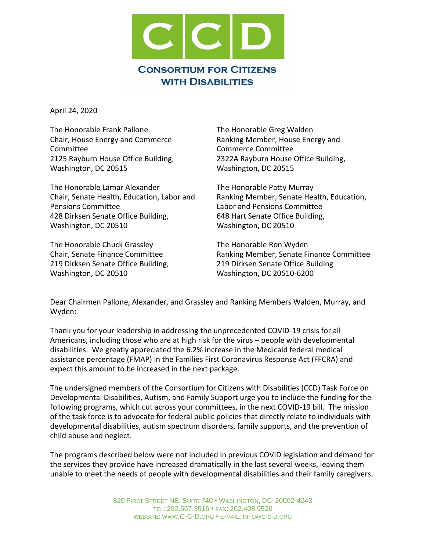

April 24, 2020

The Honorable Frank Pallone Chair, House Energy and Commerce Committee 2125 Rayburn House Office Building, Washington, DC 20515

The Honorable Lamar Alexander Chair, Senate Health, Education, Labor and Pensions Committee 428 Dirksen Senate Office Building, Washington, DC 20510

The Honorable Chuck Grassley Chair, Senate Finance Committee 219 Dirksen Senate Office Building, Washington, DC 20510

The Honorable Greg Walden Ranking Member, House Energy and Commerce Committee 2322A Rayburn House Office Building, Washington, DC 20515

The Honorable Patty Murray Ranking Member, Senate Health, Education, Labor and Pensions Committee 648 Hart Senate Office Building, Washington, DC 20510

The Honorable Ron Wyden Ranking Member, Senate Finance Committee 219 Dirksen Senate Office Building Washington, DC 20510-6200

Dear Chairmen Pallone, Alexander, and Grassley and Ranking Members Walden, Murray, and Wyden:

Thank you for your leadership in addressing the unprecedented COVID-19 crisis for all Americans, including those who are at high risk for the virus – people with developmental disabilities. We greatly appreciated the 6.2% increase in the Medicaid federal medical assistance percentage (FMAP) in the Families First Coronavirus Response Act (FFCRA) and expect this amount to be increased in the next package.

The undersigned members of the Consortium for Citizens with Disabilities (CCD) Task Force on Developmental Disabilities, Autism, and Family Support urge you to include the funding for the following programs, which cut across your committees, in the next COVID-19 bill. The mission of the task force is to advocate for federal public policies that directly relate to individuals with developmental disabilities, autism spectrum disorders, family supports, and the prevention of child abuse and neglect.

The programs described below were not included in previous COVID legislation and demand for the services they provide have increased dramatically in the last several weeks, leaving them unable to meet the needs of people with developmental disabilities and their family caregivers.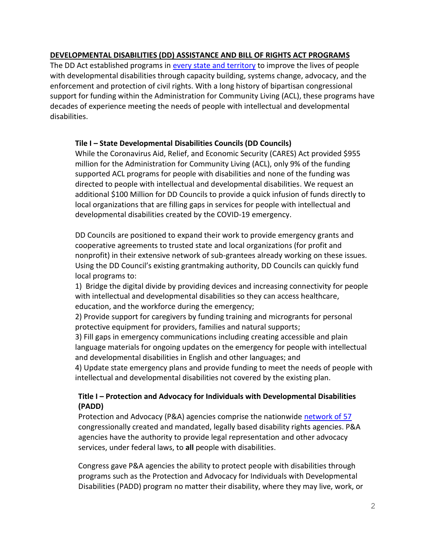# **DEVELOPMENTAL DISABILITIES (DD) ASSISTANCE AND BILL OF RIGHTS ACT PROGRAMS**

The DD Act established programs in [every state and territory](https://acl.gov/programs/aging-and-disability-networks/state-councils-developmental-disabilities) to improve the lives of people with developmental disabilities through capacity building, systems change, advocacy, and the enforcement and protection of civil rights. With a long history of bipartisan congressional support for funding within the Administration for Community Living (ACL), these programs have decades of experience meeting the needs of people with intellectual and developmental disabilities.

### **Tile I – State Developmental Disabilities Councils (DD Councils)**

While the Coronavirus Aid, Relief, and Economic Security (CARES) Act provided \$955 million for the Administration for Community Living (ACL), only 9% of the funding supported ACL programs for people with disabilities and none of the funding was directed to people with intellectual and developmental disabilities. We request an additional \$100 Million for DD Councils to provide a quick infusion of funds directly to local organizations that are filling gaps in services for people with intellectual and developmental disabilities created by the COVID-19 emergency.

DD Councils are positioned to expand their work to provide emergency grants and cooperative agreements to trusted state and local organizations (for profit and nonprofit) in their extensive network of sub-grantees already working on these issues. Using the DD Council's existing grantmaking authority, DD Councils can quickly fund local programs to:

1) Bridge the digital divide by providing devices and increasing connectivity for people with intellectual and developmental disabilities so they can access healthcare, education, and the workforce during the emergency;

2) Provide support for caregivers by funding training and microgrants for personal protective equipment for providers, families and natural supports;

3) Fill gaps in emergency communications including creating accessible and plain language materials for ongoing updates on the emergency for people with intellectual and developmental disabilities in English and other languages; and

4) Update state emergency plans and provide funding to meet the needs of people with intellectual and developmental disabilities not covered by the existing plan.

# **Title I – Protection and Advocacy for Individuals with Developmental Disabilities (PADD)**

Protection and Advocacy (P&A) agencies comprise the nationwide [network of 57](https://www.ndrn.org/wp-content/uploads/2020/04/PA-CAP-LIST-2020.docx) congressionally created and mandated, legally based disability rights agencies. P&A agencies have the authority to provide legal representation and other advocacy services, under federal laws, to **all** people with disabilities.

Congress gave P&A agencies the ability to protect people with disabilities through programs such as the Protection and Advocacy for Individuals with Developmental Disabilities (PADD) program no matter their disability, where they may live, work, or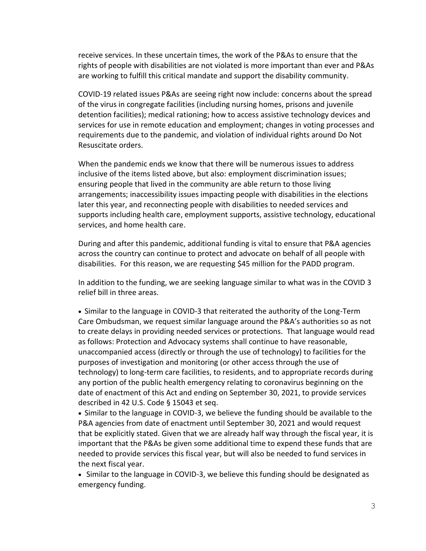receive services. In these uncertain times, the work of the P&As to ensure that the rights of people with disabilities are not violated is more important than ever and P&As are working to fulfill this critical mandate and support the disability community.

COVID-19 related issues P&As are seeing right now include: concerns about the spread of the virus in congregate facilities (including nursing homes, prisons and juvenile detention facilities); medical rationing; how to access assistive technology devices and services for use in remote education and employment; changes in voting processes and requirements due to the pandemic, and violation of individual rights around Do Not Resuscitate orders.

When the pandemic ends we know that there will be numerous issues to address inclusive of the items listed above, but also: employment discrimination issues; ensuring people that lived in the community are able return to those living arrangements; inaccessibility issues impacting people with disabilities in the elections later this year, and reconnecting people with disabilities to needed services and supports including health care, employment supports, assistive technology, educational services, and home health care.

During and after this pandemic, additional funding is vital to ensure that P&A agencies across the country can continue to protect and advocate on behalf of all people with disabilities. For this reason, we are requesting \$45 million for the PADD program.

In addition to the funding, we are seeking language similar to what was in the COVID 3 relief bill in three areas.

• Similar to the language in COVID-3 that reiterated the authority of the Long-Term Care Ombudsman, we request similar language around the P&A's authorities so as not to create delays in providing needed services or protections. That language would read as follows: Protection and Advocacy systems shall continue to have reasonable, unaccompanied access (directly or through the use of technology) to facilities for the purposes of investigation and monitoring (or other access through the use of technology) to long-term care facilities, to residents, and to appropriate records during any portion of the public health emergency relating to coronavirus beginning on the date of enactment of this Act and ending on September 30, 2021, to provide services described in 42 U.S. Code § 15043 et seq.

• Similar to the language in COVID-3, we believe the funding should be available to the P&A agencies from date of enactment until September 30, 2021 and would request that be explicitly stated. Given that we are already half way through the fiscal year, it is important that the P&As be given some additional time to expend these funds that are needed to provide services this fiscal year, but will also be needed to fund services in the next fiscal year.

• Similar to the language in COVID-3, we believe this funding should be designated as emergency funding.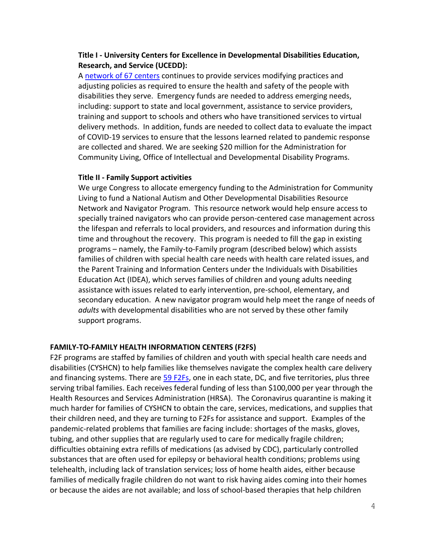## **Title I - University Centers for Excellence in Developmental Disabilities Education, Research, and Service (UCEDD):**

A [network of 67 centers](https://www.aucd.org/directory/directory.cfm?program=UCEDD) continues to provide services modifying practices and adjusting policies as required to ensure the health and safety of the people with disabilities they serve. Emergency funds are needed to address emerging needs, including: support to state and local government, assistance to service providers, training and support to schools and others who have transitioned services to virtual delivery methods. In addition, funds are needed to collect data to evaluate the impact of COVID-19 services to ensure that the lessons learned related to pandemic response are collected and shared. We are seeking \$20 million for the Administration for Community Living, Office of Intellectual and Developmental Disability Programs.

### **Title II - Family Support activities**

We urge Congress to allocate emergency funding to the Administration for Community Living to fund a National Autism and Other Developmental Disabilities Resource Network and Navigator Program. This resource network would help ensure access to specially trained navigators who can provide person-centered case management across the lifespan and referrals to local providers, and resources and information during this time and throughout the recovery. This program is needed to fill the gap in existing programs – namely, the Family-to-Family program (described below) which assists families of children with special health care needs with health care related issues, and the Parent Training and Information Centers under the Individuals with Disabilities Education Act (IDEA), which serves families of children and young adults needing assistance with issues related to early intervention, pre-school, elementary, and secondary education. A new navigator program would help meet the range of needs of *adults* with developmental disabilities who are not served by these other family support programs.

#### **FAMILY-TO-FAMILY HEALTH INFORMATION CENTERS (F2FS)**

F2F programs are staffed by families of children and youth with special health care needs and disabilities (CYSHCN) to help families like themselves navigate the complex health care delivery and financing systems. There are [59 F2Fs,](https://familyvoices.org/affiliates/) one in each state, DC, and five territories, plus three serving tribal families. Each receives federal funding of less than \$100,000 per year through the Health Resources and Services Administration (HRSA). The Coronavirus quarantine is making it much harder for families of CYSHCN to obtain the care, services, medications, and supplies that their children need, and they are turning to F2Fs for assistance and support. Examples of the pandemic-related problems that families are facing include: shortages of the masks, gloves, tubing, and other supplies that are regularly used to care for medically fragile children; difficulties obtaining extra refills of medications (as advised by CDC), particularly controlled substances that are often used for epilepsy or behavioral health conditions; problems using telehealth, including lack of translation services; loss of home health aides, either because families of medically fragile children do not want to risk having aides coming into their homes or because the aides are not available; and loss of school-based therapies that help children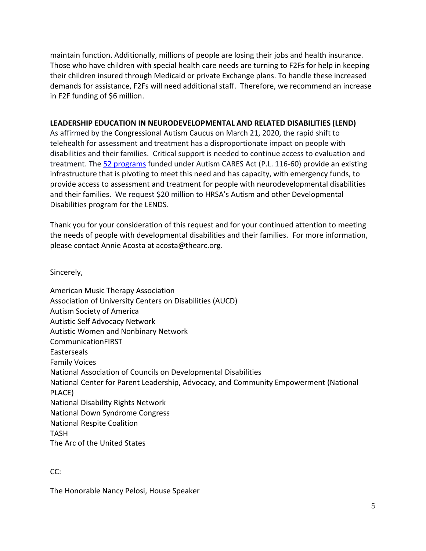maintain function. Additionally, millions of people are losing their jobs and health insurance. Those who have children with special health care needs are turning to F2Fs for help in keeping their children insured through Medicaid or private Exchange plans. To handle these increased demands for assistance, F2Fs will need additional staff. Therefore, we recommend an increase in F2F funding of \$6 million.

### **LEADERSHIP EDUCATION IN NEURODEVELOPMENTAL AND RELATED DISABILITIES (LEND)**

As affirmed by the Congressional Autism Caucus on March 21, 2020, the rapid shift to telehealth for assessment and treatment has a disproportionate impact on people with disabilities and their families. Critical support is needed to continue access to evaluation and treatment. The [52 programs](https://www.aucd.org/directory/directory.cfm?program=LEND) funded under Autism CARES Act (P.L. 116-60) provide an existing infrastructure that is pivoting to meet this need and has capacity, with emergency funds, to provide access to assessment and treatment for people with neurodevelopmental disabilities and their families. We request \$20 million to HRSA's Autism and other Developmental Disabilities program for the LENDS.

Thank you for your consideration of this request and for your continued attention to meeting the needs of people with developmental disabilities and their families. For more information, please contact Annie Acosta at acosta@thearc.org.

Sincerely,

American Music Therapy Association Association of University Centers on Disabilities (AUCD) Autism Society of America Autistic Self Advocacy Network Autistic Women and Nonbinary Network CommunicationFIRST Easterseals Family Voices National Association of Councils on Developmental Disabilities National Center for Parent Leadership, Advocacy, and Community Empowerment (National PLACE) National Disability Rights Network National Down Syndrome Congress National Respite Coalition TASH The Arc of the United States

### CC:

The Honorable Nancy Pelosi, House Speaker